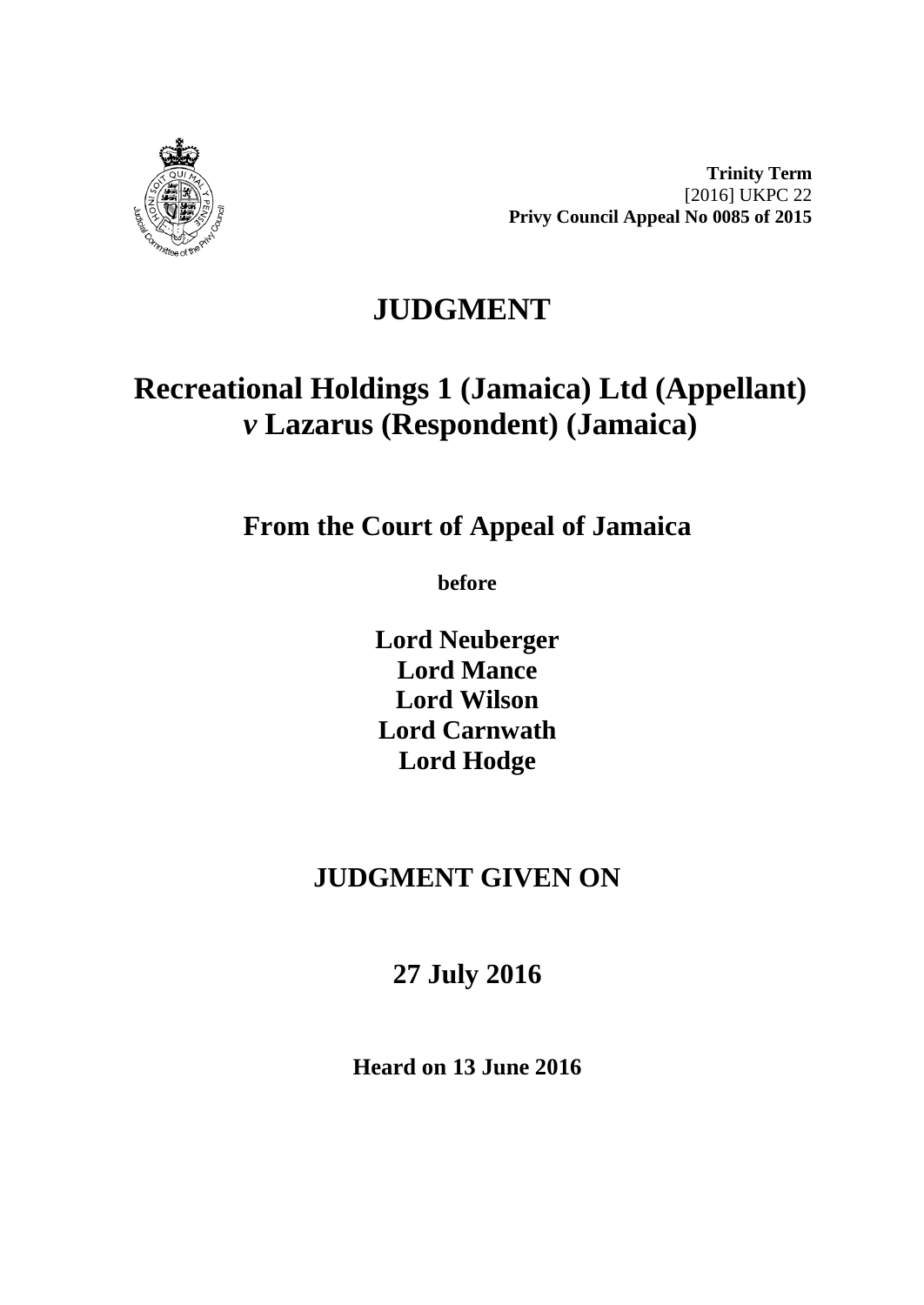

**Trinity Term** [2016] UKPC 22 **Privy Council Appeal No 0085 of 2015**

# **JUDGMENT**

# **Recreational Holdings 1 (Jamaica) Ltd (Appellant)** *v* **Lazarus (Respondent) (Jamaica)**

**From the Court of Appeal of Jamaica**

**before** 

**Lord Neuberger Lord Mance Lord Wilson Lord Carnwath Lord Hodge**

## **JUDGMENT GIVEN ON**

**27 July 2016**

**Heard on 13 June 2016**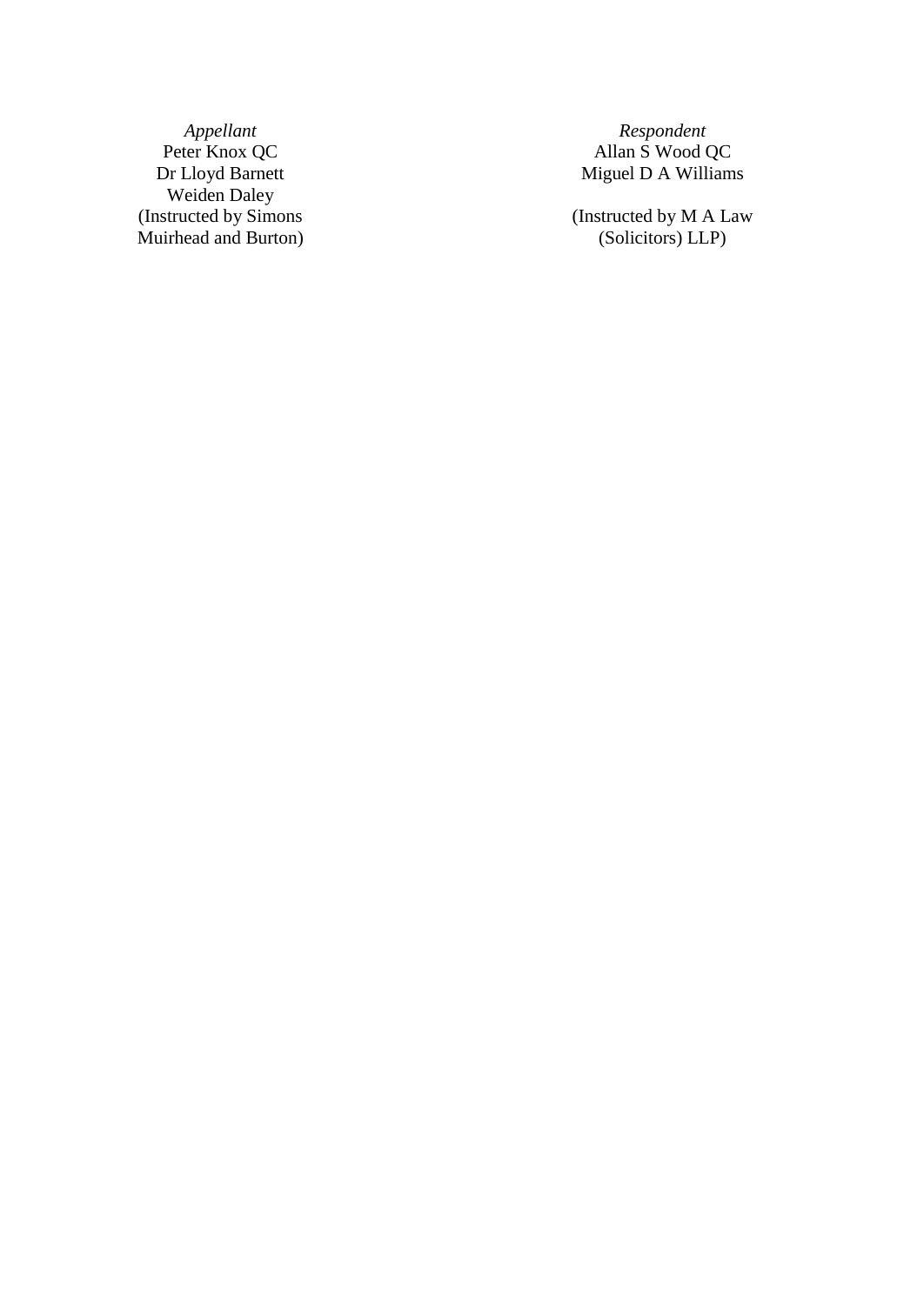*Appellant Respondent* Peter Knox QC Allan S Wood QC<br>Dr Lloyd Barnett Miguel D A William Weiden Daley (Instructed by Simons Muirhead and Burton )

Miguel D A Williams

(Instructed by M A Law (Solicitors) LLP )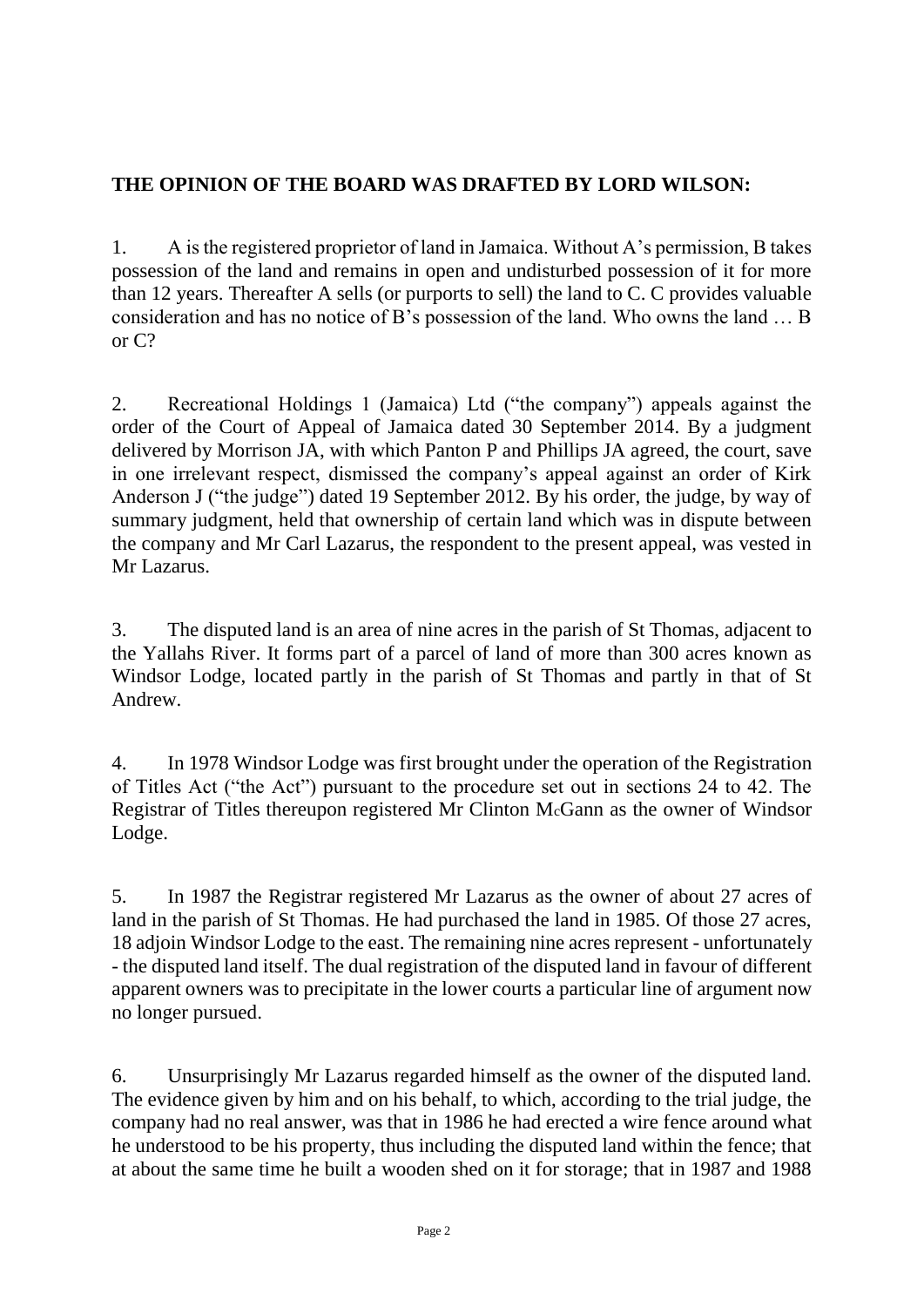### **THE OPINION OF THE BOARD WAS DRAFTED BY LORD WILSON:**

1. A is the registered proprietor of land in Jamaica. Without A's permission, B takes possession of the land and remains in open and undisturbed possession of it for more than 12 years. Thereafter A sells (or purports to sell) the land to C. C provides valuable consideration and has no notice of B's possession of the land. Who owns the land … B or C?

2. Recreational Holdings 1 (Jamaica) Ltd ("the company") appeals against the order of the Court of Appeal of Jamaica dated 30 September 2014. By a judgment delivered by Morrison JA, with which Panton P and Phillips JA agreed, the court, save in one irrelevant respect, dismissed the company's appeal against an order of Kirk Anderson J ("the judge") dated 19 September 2012. By his order, the judge, by way of summary judgment, held that ownership of certain land which was in dispute between the company and Mr Carl Lazarus, the respondent to the present appeal, was vested in Mr Lazarus.

3. The disputed land is an area of nine acres in the parish of St Thomas, adjacent to the Yallahs River. It forms part of a parcel of land of more than 300 acres known as Windsor Lodge, located partly in the parish of St Thomas and partly in that of St Andrew.

4. In 1978 Windsor Lodge was first brought under the operation of the Registration of Titles Act ("the Act") pursuant to the procedure set out in sections 24 to 42. The Registrar of Titles thereupon registered Mr Clinton McGann as the owner of Windsor Lodge.

5. In 1987 the Registrar registered Mr Lazarus as the owner of about 27 acres of land in the parish of St Thomas. He had purchased the land in 1985. Of those 27 acres, 18 adjoin Windsor Lodge to the east. The remaining nine acres represent - unfortunately - the disputed land itself. The dual registration of the disputed land in favour of different apparent owners was to precipitate in the lower courts a particular line of argument now no longer pursued.

6. Unsurprisingly Mr Lazarus regarded himself as the owner of the disputed land. The evidence given by him and on his behalf, to which, according to the trial judge, the company had no real answer, was that in 1986 he had erected a wire fence around what he understood to be his property, thus including the disputed land within the fence; that at about the same time he built a wooden shed on it for storage; that in 1987 and 1988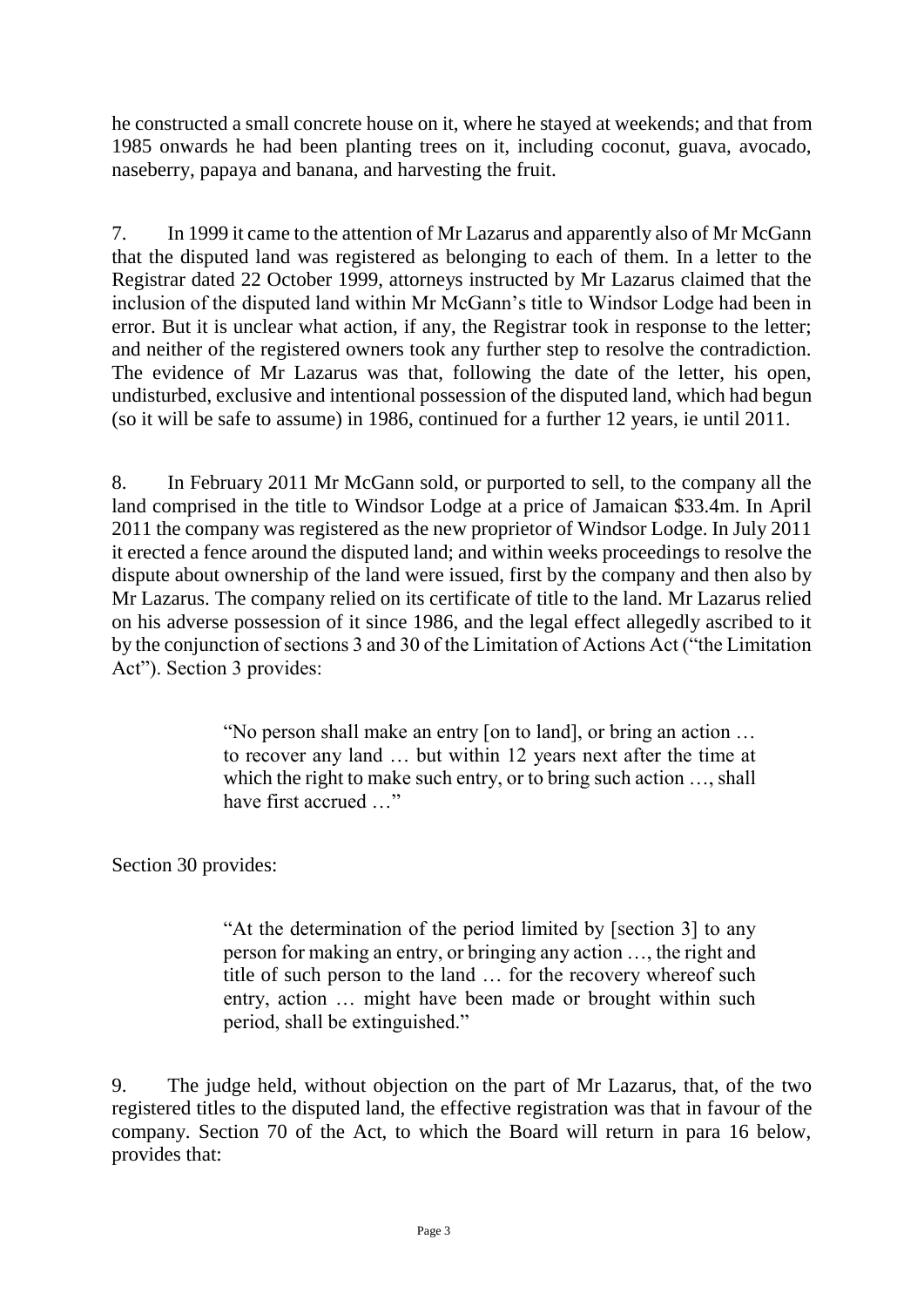he constructed a small concrete house on it, where he stayed at weekends; and that from 1985 onwards he had been planting trees on it, including coconut, guava, avocado, naseberry, papaya and banana, and harvesting the fruit.

7. In 1999 it came to the attention of Mr Lazarus and apparently also of Mr McGann that the disputed land was registered as belonging to each of them. In a letter to the Registrar dated 22 October 1999, attorneys instructed by Mr Lazarus claimed that the inclusion of the disputed land within Mr McGann's title to Windsor Lodge had been in error. But it is unclear what action, if any, the Registrar took in response to the letter; and neither of the registered owners took any further step to resolve the contradiction. The evidence of Mr Lazarus was that, following the date of the letter, his open, undisturbed, exclusive and intentional possession of the disputed land, which had begun (so it will be safe to assume) in 1986, continued for a further 12 years, ie until 2011.

8. In February 2011 Mr McGann sold, or purported to sell, to the company all the land comprised in the title to Windsor Lodge at a price of Jamaican \$33.4m. In April 2011 the company was registered as the new proprietor of Windsor Lodge. In July 2011 it erected a fence around the disputed land; and within weeks proceedings to resolve the dispute about ownership of the land were issued, first by the company and then also by Mr Lazarus. The company relied on its certificate of title to the land. Mr Lazarus relied on his adverse possession of it since 1986, and the legal effect allegedly ascribed to it by the conjunction of sections 3 and 30 of the Limitation of Actions Act ("the Limitation Act"). Section 3 provides:

> "No person shall make an entry [on to land], or bring an action … to recover any land … but within 12 years next after the time at which the right to make such entry, or to bring such action …, shall have first accrued …"

Section 30 provides:

"At the determination of the period limited by [section 3] to any person for making an entry, or bringing any action …, the right and title of such person to the land … for the recovery whereof such entry, action … might have been made or brought within such period, shall be extinguished."

9. The judge held, without objection on the part of Mr Lazarus, that, of the two registered titles to the disputed land, the effective registration was that in favour of the company. Section 70 of the Act, to which the Board will return in para 16 below, provides that: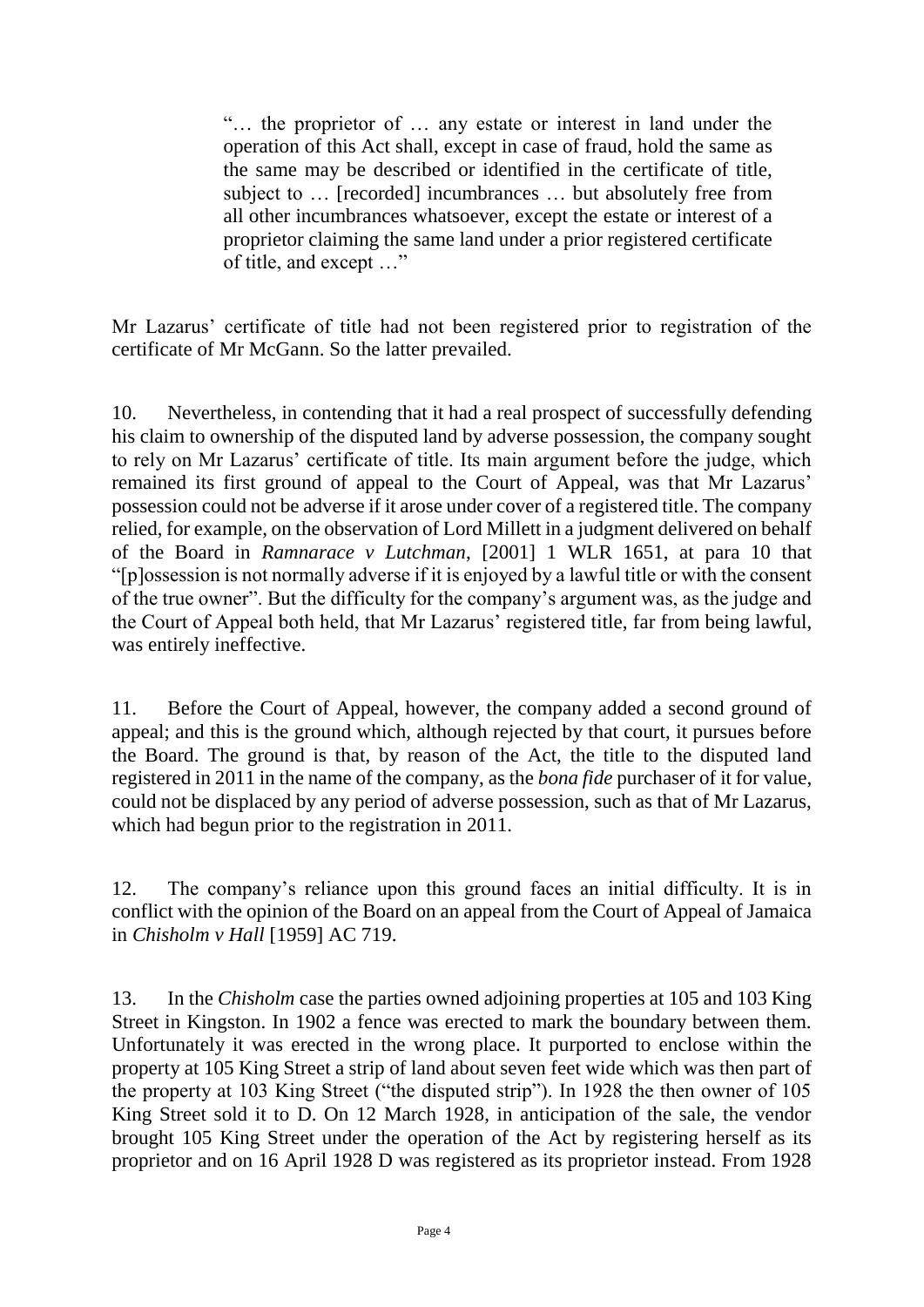"… the proprietor of … any estate or interest in land under the operation of this Act shall, except in case of fraud, hold the same as the same may be described or identified in the certificate of title, subject to … [recorded] incumbrances … but absolutely free from all other incumbrances whatsoever, except the estate or interest of a proprietor claiming the same land under a prior registered certificate of title, and except …"

Mr Lazarus' certificate of title had not been registered prior to registration of the certificate of Mr McGann. So the latter prevailed.

10. Nevertheless, in contending that it had a real prospect of successfully defending his claim to ownership of the disputed land by adverse possession, the company sought to rely on Mr Lazarus' certificate of title. Its main argument before the judge, which remained its first ground of appeal to the Court of Appeal, was that Mr Lazarus' possession could not be adverse if it arose under cover of a registered title. The company relied, for example, on the observation of Lord Millett in a judgment delivered on behalf of the Board in *Ramnarace v Lutchman*, [2001] 1 WLR 1651, at para 10 that "[p]ossession is not normally adverse if it is enjoyed by a lawful title or with the consent of the true owner". But the difficulty for the company's argument was, as the judge and the Court of Appeal both held, that Mr Lazarus' registered title, far from being lawful, was entirely ineffective.

11. Before the Court of Appeal, however, the company added a second ground of appeal; and this is the ground which, although rejected by that court, it pursues before the Board. The ground is that, by reason of the Act, the title to the disputed land registered in 2011 in the name of the company, as the *bona fide* purchaser of it for value, could not be displaced by any period of adverse possession, such as that of Mr Lazarus, which had begun prior to the registration in 2011.

12. The company's reliance upon this ground faces an initial difficulty. It is in conflict with the opinion of the Board on an appeal from the Court of Appeal of Jamaica in *Chisholm v Hall* [1959] AC 719.

13. In the *Chisholm* case the parties owned adjoining properties at 105 and 103 King Street in Kingston. In 1902 a fence was erected to mark the boundary between them. Unfortunately it was erected in the wrong place. It purported to enclose within the property at 105 King Street a strip of land about seven feet wide which was then part of the property at 103 King Street ("the disputed strip"). In 1928 the then owner of 105 King Street sold it to D. On 12 March 1928, in anticipation of the sale, the vendor brought 105 King Street under the operation of the Act by registering herself as its proprietor and on 16 April 1928 D was registered as its proprietor instead. From 1928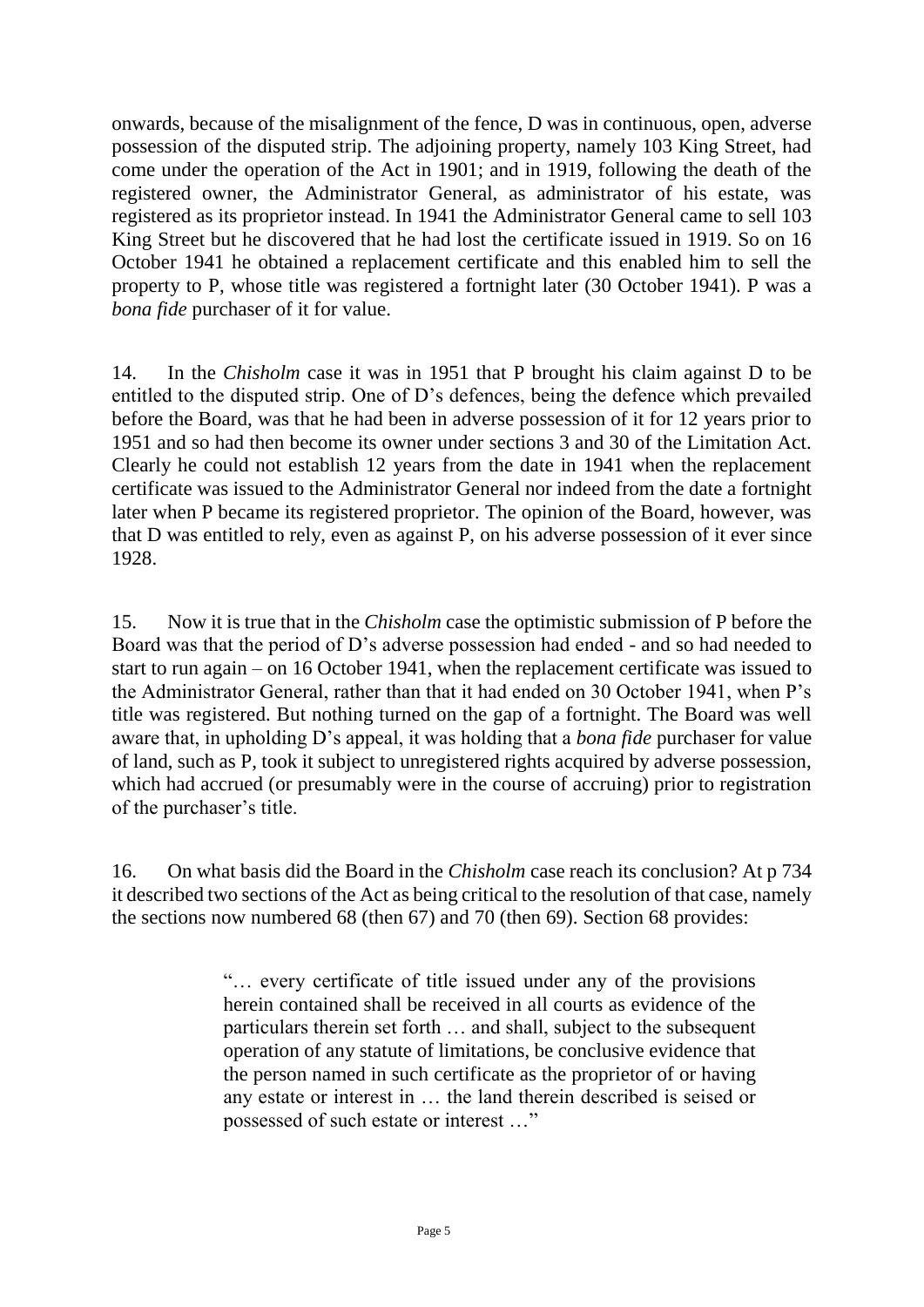onwards, because of the misalignment of the fence, D was in continuous, open, adverse possession of the disputed strip. The adjoining property, namely 103 King Street, had come under the operation of the Act in 1901; and in 1919, following the death of the registered owner, the Administrator General, as administrator of his estate, was registered as its proprietor instead. In 1941 the Administrator General came to sell 103 King Street but he discovered that he had lost the certificate issued in 1919. So on 16 October 1941 he obtained a replacement certificate and this enabled him to sell the property to P, whose title was registered a fortnight later (30 October 1941). P was a *bona fide* purchaser of it for value.

14. In the *Chisholm* case it was in 1951 that P brought his claim against D to be entitled to the disputed strip. One of D's defences, being the defence which prevailed before the Board, was that he had been in adverse possession of it for 12 years prior to 1951 and so had then become its owner under sections 3 and 30 of the Limitation Act. Clearly he could not establish 12 years from the date in 1941 when the replacement certificate was issued to the Administrator General nor indeed from the date a fortnight later when P became its registered proprietor. The opinion of the Board, however, was that D was entitled to rely, even as against P, on his adverse possession of it ever since 1928.

15. Now it is true that in the *Chisholm* case the optimistic submission of P before the Board was that the period of D's adverse possession had ended - and so had needed to start to run again – on 16 October 1941, when the replacement certificate was issued to the Administrator General, rather than that it had ended on 30 October 1941, when P's title was registered. But nothing turned on the gap of a fortnight. The Board was well aware that, in upholding D's appeal, it was holding that a *bona fide* purchaser for value of land, such as P, took it subject to unregistered rights acquired by adverse possession, which had accrued (or presumably were in the course of accruing) prior to registration of the purchaser's title.

16. On what basis did the Board in the *Chisholm* case reach its conclusion? At p 734 it described two sections of the Act as being critical to the resolution of that case, namely the sections now numbered 68 (then 67) and 70 (then 69). Section 68 provides:

> "… every certificate of title issued under any of the provisions herein contained shall be received in all courts as evidence of the particulars therein set forth … and shall, subject to the subsequent operation of any statute of limitations, be conclusive evidence that the person named in such certificate as the proprietor of or having any estate or interest in … the land therein described is seised or possessed of such estate or interest …"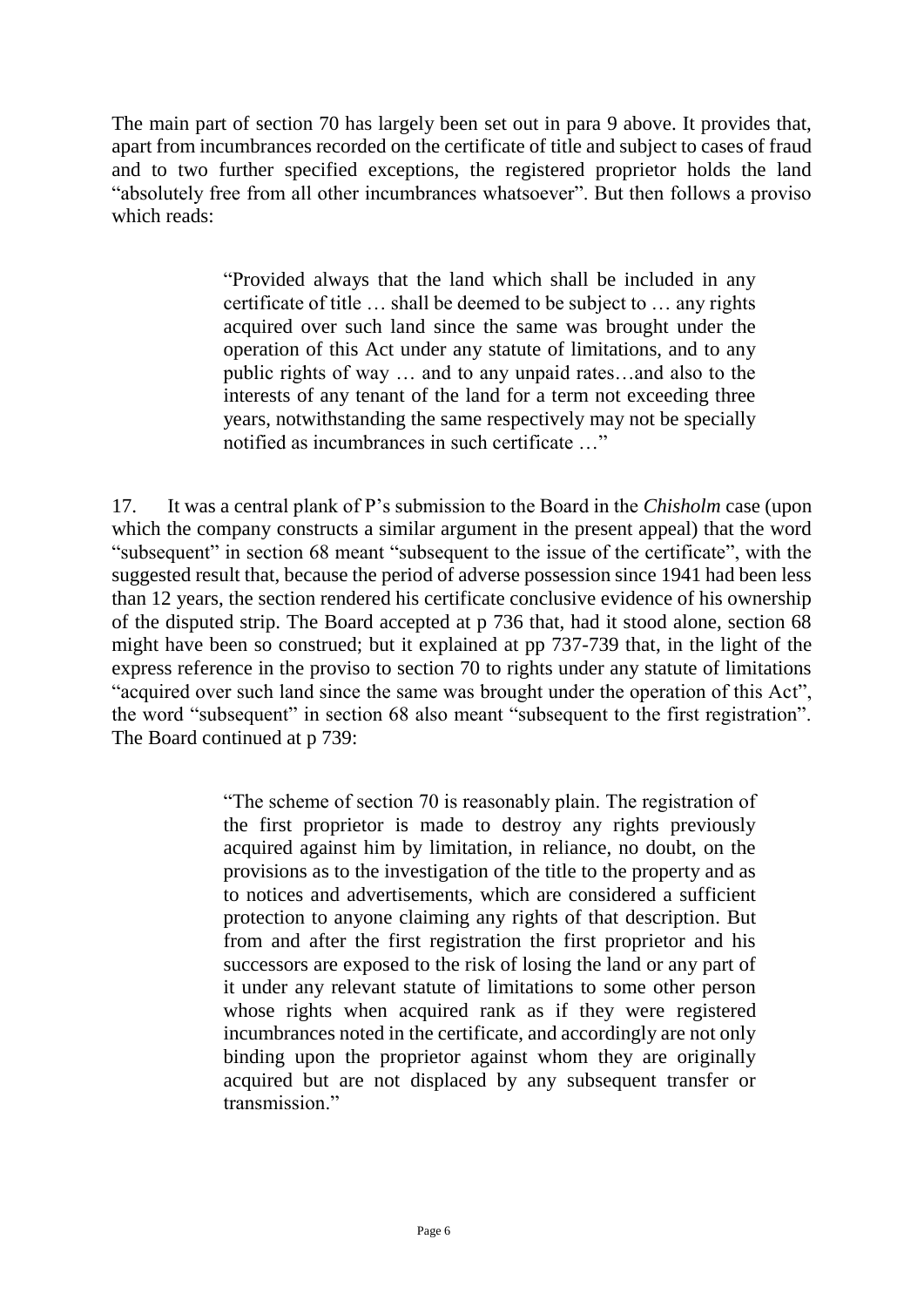The main part of section 70 has largely been set out in para 9 above. It provides that, apart from incumbrances recorded on the certificate of title and subject to cases of fraud and to two further specified exceptions, the registered proprietor holds the land "absolutely free from all other incumbrances whatsoever". But then follows a proviso which reads:

> "Provided always that the land which shall be included in any certificate of title … shall be deemed to be subject to … any rights acquired over such land since the same was brought under the operation of this Act under any statute of limitations, and to any public rights of way … and to any unpaid rates…and also to the interests of any tenant of the land for a term not exceeding three years, notwithstanding the same respectively may not be specially notified as incumbrances in such certificate …"

17. It was a central plank of P's submission to the Board in the *Chisholm* case (upon which the company constructs a similar argument in the present appeal) that the word "subsequent" in section 68 meant "subsequent to the issue of the certificate", with the suggested result that, because the period of adverse possession since 1941 had been less than 12 years, the section rendered his certificate conclusive evidence of his ownership of the disputed strip. The Board accepted at p 736 that, had it stood alone, section 68 might have been so construed; but it explained at pp 737-739 that, in the light of the express reference in the proviso to section 70 to rights under any statute of limitations "acquired over such land since the same was brought under the operation of this Act", the word "subsequent" in section 68 also meant "subsequent to the first registration". The Board continued at p 739:

> "The scheme of section 70 is reasonably plain. The registration of the first proprietor is made to destroy any rights previously acquired against him by limitation, in reliance, no doubt, on the provisions as to the investigation of the title to the property and as to notices and advertisements, which are considered a sufficient protection to anyone claiming any rights of that description. But from and after the first registration the first proprietor and his successors are exposed to the risk of losing the land or any part of it under any relevant statute of limitations to some other person whose rights when acquired rank as if they were registered incumbrances noted in the certificate, and accordingly are not only binding upon the proprietor against whom they are originally acquired but are not displaced by any subsequent transfer or transmission"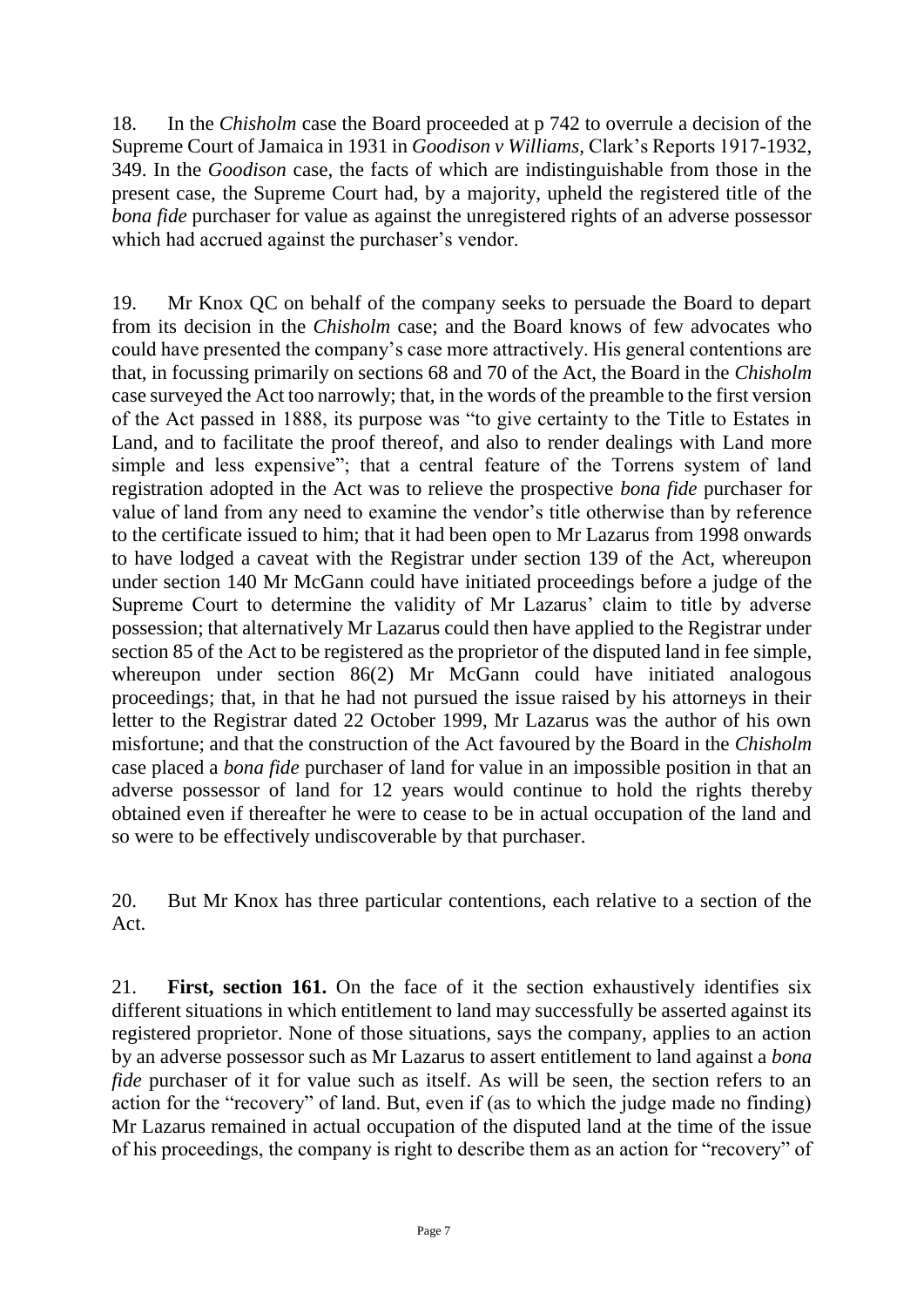18. In the *Chisholm* case the Board proceeded at p 742 to overrule a decision of the Supreme Court of Jamaica in 1931 in *Goodison v Williams*, Clark's Reports 1917-1932, 349. In the *Goodison* case, the facts of which are indistinguishable from those in the present case, the Supreme Court had, by a majority, upheld the registered title of the *bona fide* purchaser for value as against the unregistered rights of an adverse possessor which had accrued against the purchaser's vendor.

19. Mr Knox QC on behalf of the company seeks to persuade the Board to depart from its decision in the *Chisholm* case; and the Board knows of few advocates who could have presented the company's case more attractively. His general contentions are that, in focussing primarily on sections 68 and 70 of the Act, the Board in the *Chisholm*  case surveyed the Act too narrowly; that, in the words of the preamble to the first version of the Act passed in 1888, its purpose was "to give certainty to the Title to Estates in Land, and to facilitate the proof thereof, and also to render dealings with Land more simple and less expensive"; that a central feature of the Torrens system of land registration adopted in the Act was to relieve the prospective *bona fide* purchaser for value of land from any need to examine the vendor's title otherwise than by reference to the certificate issued to him; that it had been open to Mr Lazarus from 1998 onwards to have lodged a caveat with the Registrar under section 139 of the Act, whereupon under section 140 Mr McGann could have initiated proceedings before a judge of the Supreme Court to determine the validity of Mr Lazarus' claim to title by adverse possession; that alternatively Mr Lazarus could then have applied to the Registrar under section 85 of the Act to be registered as the proprietor of the disputed land in fee simple, whereupon under section 86(2) Mr McGann could have initiated analogous proceedings; that, in that he had not pursued the issue raised by his attorneys in their letter to the Registrar dated 22 October 1999, Mr Lazarus was the author of his own misfortune; and that the construction of the Act favoured by the Board in the *Chisholm*  case placed a *bona fide* purchaser of land for value in an impossible position in that an adverse possessor of land for 12 years would continue to hold the rights thereby obtained even if thereafter he were to cease to be in actual occupation of the land and so were to be effectively undiscoverable by that purchaser.

20. But Mr Knox has three particular contentions, each relative to a section of the Act.

21. **First, section 161.** On the face of it the section exhaustively identifies six different situations in which entitlement to land may successfully be asserted against its registered proprietor. None of those situations, says the company, applies to an action by an adverse possessor such as Mr Lazarus to assert entitlement to land against a *bona fide* purchaser of it for value such as itself. As will be seen, the section refers to an action for the "recovery" of land. But, even if (as to which the judge made no finding) Mr Lazarus remained in actual occupation of the disputed land at the time of the issue of his proceedings, the company is right to describe them as an action for "recovery" of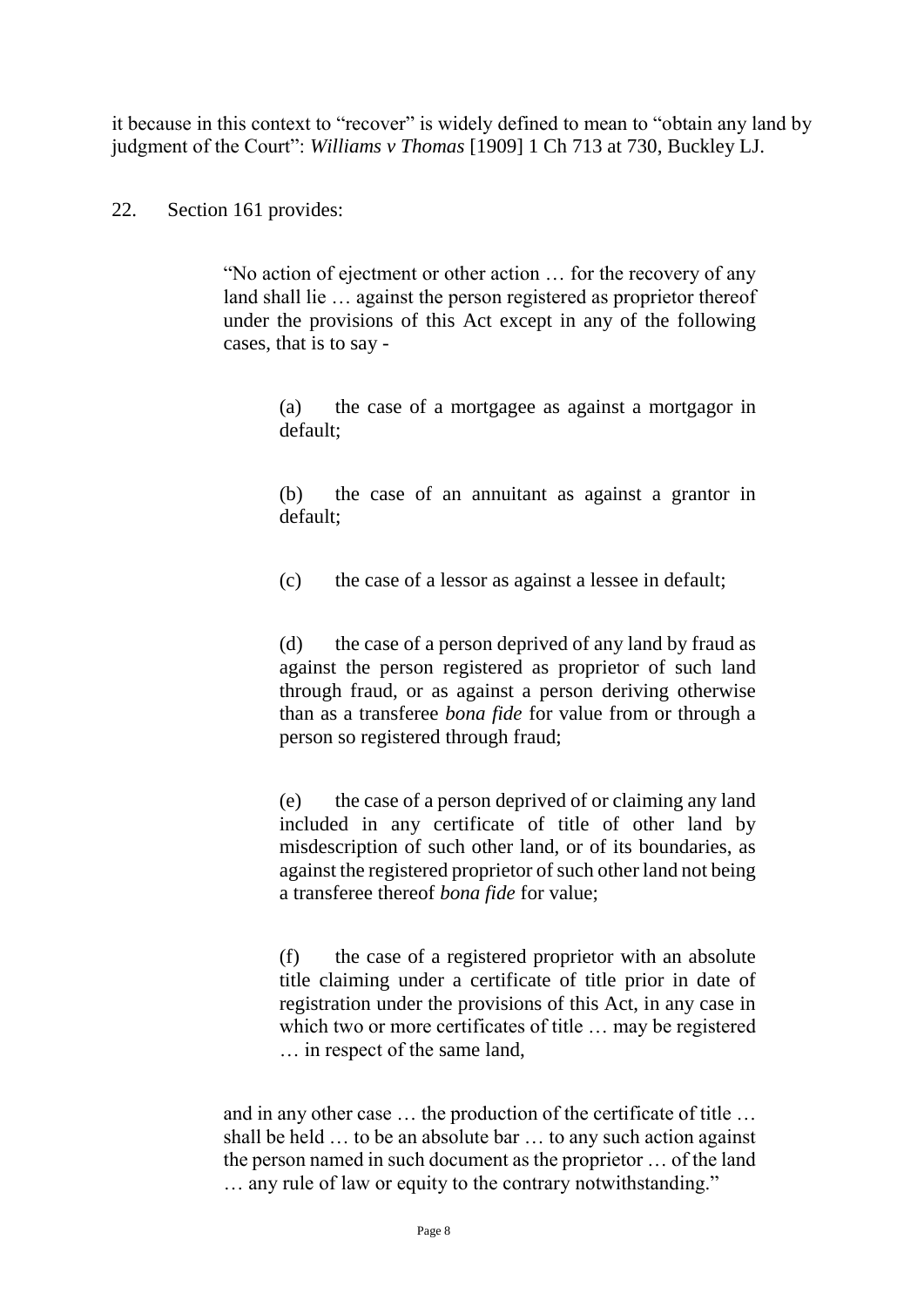it because in this context to "recover" is widely defined to mean to "obtain any land by judgment of the Court": *Williams v Thomas* [1909] 1 Ch 713 at 730, Buckley LJ.

#### 22. Section 161 provides:

"No action of ejectment or other action … for the recovery of any land shall lie ... against the person registered as proprietor thereof under the provisions of this Act except in any of the following cases, that is to say -

> (a) the case of a mortgagee as against a mortgagor in default;

> (b) the case of an annuitant as against a grantor in default;

(c) the case of a lessor as against a lessee in default;

(d) the case of a person deprived of any land by fraud as against the person registered as proprietor of such land through fraud, or as against a person deriving otherwise than as a transferee *bona fide* for value from or through a person so registered through fraud;

(e) the case of a person deprived of or claiming any land included in any certificate of title of other land by misdescription of such other land, or of its boundaries, as against the registered proprietor of such other land not being a transferee thereof *bona fide* for value;

(f) the case of a registered proprietor with an absolute title claiming under a certificate of title prior in date of registration under the provisions of this Act, in any case in which two or more certificates of title … may be registered … in respect of the same land,

and in any other case … the production of the certificate of title … shall be held … to be an absolute bar … to any such action against the person named in such document as the proprietor … of the land … any rule of law or equity to the contrary notwithstanding."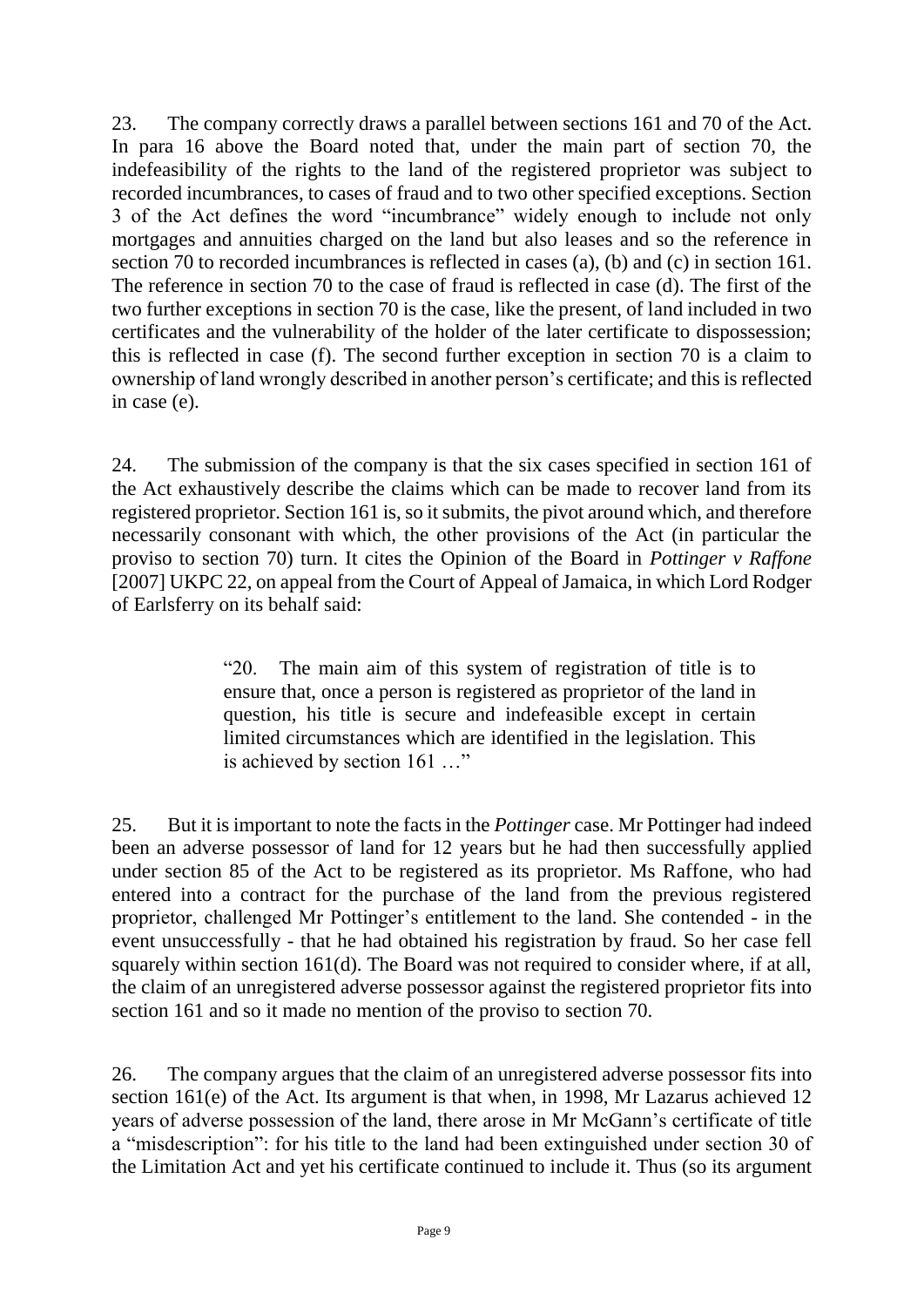23. The company correctly draws a parallel between sections 161 and 70 of the Act. In para 16 above the Board noted that, under the main part of section 70, the indefeasibility of the rights to the land of the registered proprietor was subject to recorded incumbrances, to cases of fraud and to two other specified exceptions. Section 3 of the Act defines the word "incumbrance" widely enough to include not only mortgages and annuities charged on the land but also leases and so the reference in section 70 to recorded incumbrances is reflected in cases (a), (b) and (c) in section 161. The reference in section 70 to the case of fraud is reflected in case (d). The first of the two further exceptions in section 70 is the case, like the present, of land included in two certificates and the vulnerability of the holder of the later certificate to dispossession; this is reflected in case (f). The second further exception in section 70 is a claim to ownership of land wrongly described in another person's certificate; and this is reflected in case (e).

24. The submission of the company is that the six cases specified in section 161 of the Act exhaustively describe the claims which can be made to recover land from its registered proprietor. Section 161 is, so it submits, the pivot around which, and therefore necessarily consonant with which, the other provisions of the Act (in particular the proviso to section 70) turn. It cites the Opinion of the Board in *Pottinger v Raffone*  [2007] UKPC 22, on appeal from the Court of Appeal of Jamaica, in which Lord Rodger of Earlsferry on its behalf said:

> "20. The main aim of this system of registration of title is to ensure that, once a person is registered as proprietor of the land in question, his title is secure and indefeasible except in certain limited circumstances which are identified in the legislation. This is achieved by section 161 …"

25. But it is important to note the facts in the *Pottinger* case. Mr Pottinger had indeed been an adverse possessor of land for 12 years but he had then successfully applied under section 85 of the Act to be registered as its proprietor. Ms Raffone, who had entered into a contract for the purchase of the land from the previous registered proprietor, challenged Mr Pottinger's entitlement to the land. She contended - in the event unsuccessfully - that he had obtained his registration by fraud. So her case fell squarely within section 161(d). The Board was not required to consider where, if at all, the claim of an unregistered adverse possessor against the registered proprietor fits into section 161 and so it made no mention of the proviso to section 70.

26. The company argues that the claim of an unregistered adverse possessor fits into section 161(e) of the Act. Its argument is that when, in 1998, Mr Lazarus achieved 12 years of adverse possession of the land, there arose in Mr McGann's certificate of title a "misdescription": for his title to the land had been extinguished under section 30 of the Limitation Act and yet his certificate continued to include it. Thus (so its argument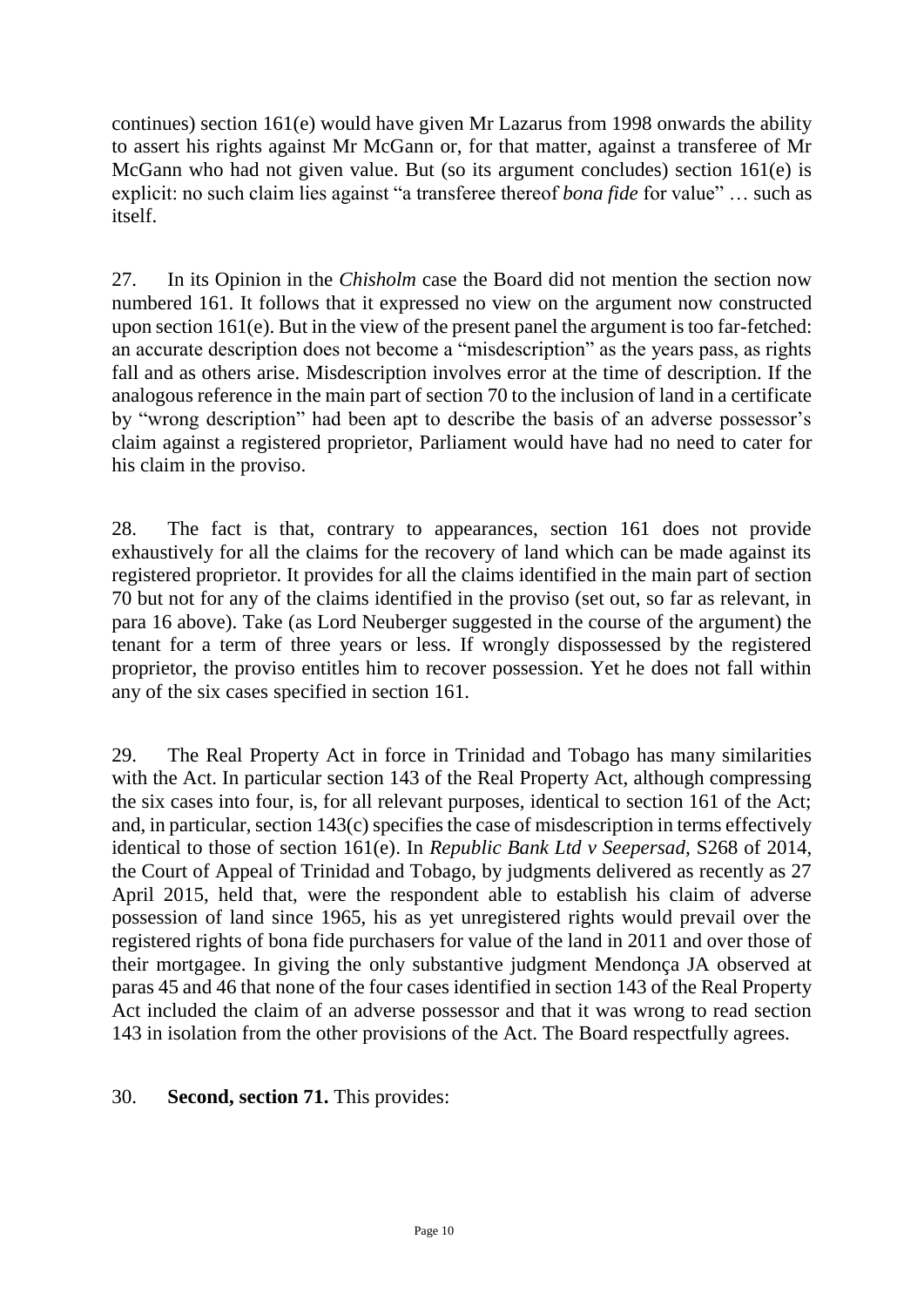continues) section 161(e) would have given Mr Lazarus from 1998 onwards the ability to assert his rights against Mr McGann or, for that matter, against a transferee of Mr McGann who had not given value. But (so its argument concludes) section 161(e) is explicit: no such claim lies against "a transferee thereof *bona fide* for value" … such as itself.

27. In its Opinion in the *Chisholm* case the Board did not mention the section now numbered 161. It follows that it expressed no view on the argument now constructed upon section 161(e). But in the view of the present panel the argument is too far-fetched: an accurate description does not become a "misdescription" as the years pass, as rights fall and as others arise. Misdescription involves error at the time of description. If the analogous reference in the main part of section 70 to the inclusion of land in a certificate by "wrong description" had been apt to describe the basis of an adverse possessor's claim against a registered proprietor, Parliament would have had no need to cater for his claim in the proviso.

28. The fact is that, contrary to appearances, section 161 does not provide exhaustively for all the claims for the recovery of land which can be made against its registered proprietor. It provides for all the claims identified in the main part of section 70 but not for any of the claims identified in the proviso (set out, so far as relevant, in para 16 above). Take (as Lord Neuberger suggested in the course of the argument) the tenant for a term of three years or less. If wrongly dispossessed by the registered proprietor, the proviso entitles him to recover possession. Yet he does not fall within any of the six cases specified in section 161.

29. The Real Property Act in force in Trinidad and Tobago has many similarities with the Act. In particular section 143 of the Real Property Act, although compressing the six cases into four, is, for all relevant purposes, identical to section 161 of the Act; and, in particular, section 143(c) specifies the case of misdescription in terms effectively identical to those of section 161(e). In *Republic Bank Ltd v Seepersad,* S268 of 2014, the Court of Appeal of Trinidad and Tobago, by judgments delivered as recently as 27 April 2015, held that, were the respondent able to establish his claim of adverse possession of land since 1965, his as yet unregistered rights would prevail over the registered rights of bona fide purchasers for value of the land in 2011 and over those of their mortgagee. In giving the only substantive judgment Mendonça JA observed at paras 45 and 46 that none of the four cases identified in section 143 of the Real Property Act included the claim of an adverse possessor and that it was wrong to read section 143 in isolation from the other provisions of the Act. The Board respectfully agrees.

## 30. **Second, section 71.** This provides: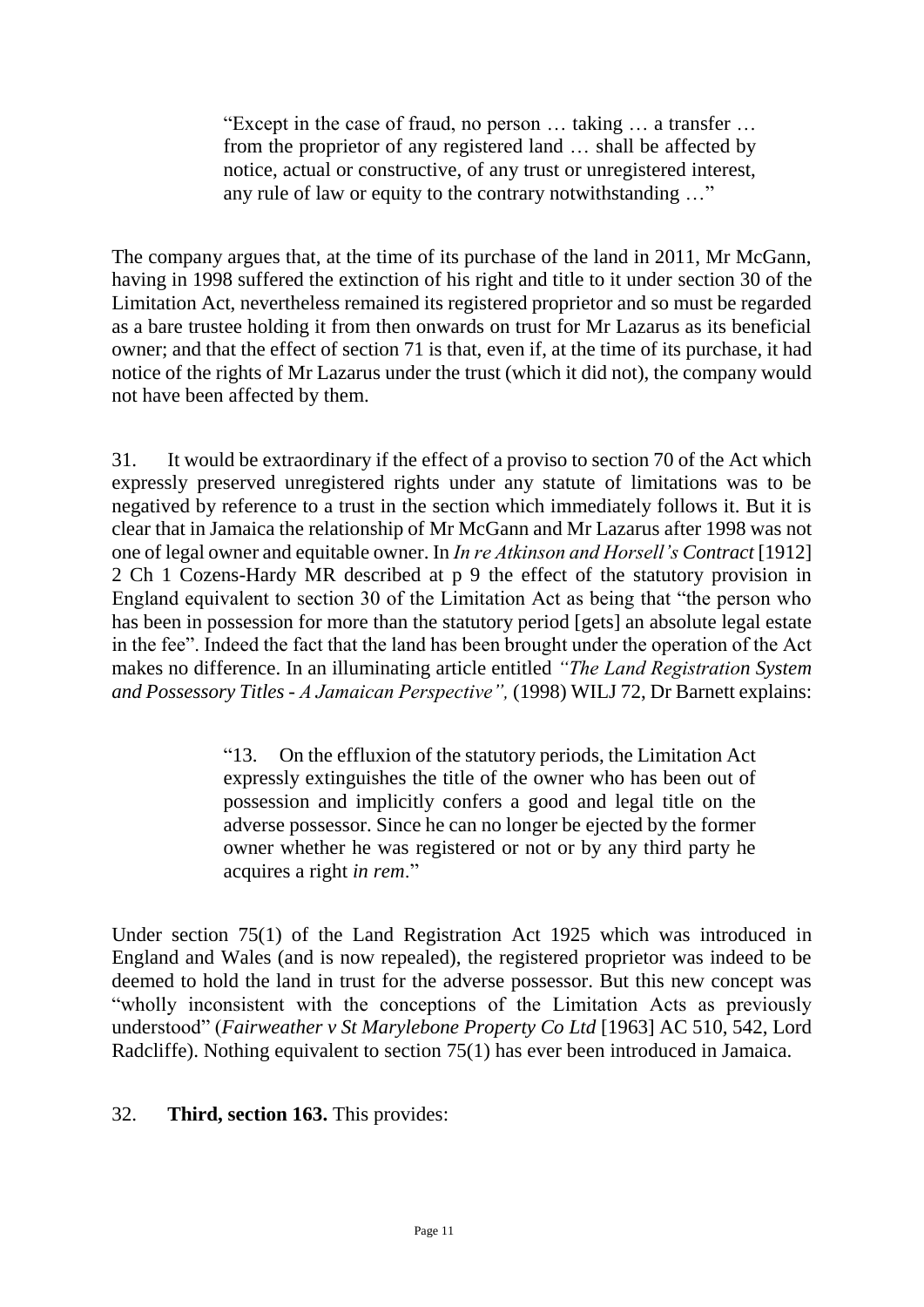"Except in the case of fraud, no person … taking … a transfer … from the proprietor of any registered land … shall be affected by notice, actual or constructive, of any trust or unregistered interest, any rule of law or equity to the contrary notwithstanding …"

The company argues that, at the time of its purchase of the land in 2011, Mr McGann, having in 1998 suffered the extinction of his right and title to it under section 30 of the Limitation Act, nevertheless remained its registered proprietor and so must be regarded as a bare trustee holding it from then onwards on trust for Mr Lazarus as its beneficial owner; and that the effect of section 71 is that, even if, at the time of its purchase, it had notice of the rights of Mr Lazarus under the trust (which it did not), the company would not have been affected by them.

31. It would be extraordinary if the effect of a proviso to section 70 of the Act which expressly preserved unregistered rights under any statute of limitations was to be negatived by reference to a trust in the section which immediately follows it. But it is clear that in Jamaica the relationship of Mr McGann and Mr Lazarus after 1998 was not one of legal owner and equitable owner. In *In re Atkinson and Horsell's Contract* [1912] 2 Ch 1 Cozens-Hardy MR described at p 9 the effect of the statutory provision in England equivalent to section 30 of the Limitation Act as being that "the person who has been in possession for more than the statutory period [gets] an absolute legal estate in the fee". Indeed the fact that the land has been brought under the operation of the Act makes no difference. In an illuminating article entitled *"The Land Registration System and Possessory Titles - A Jamaican Perspective",* (1998) WILJ 72, Dr Barnett explains:

> "13. On the effluxion of the statutory periods, the Limitation Act expressly extinguishes the title of the owner who has been out of possession and implicitly confers a good and legal title on the adverse possessor. Since he can no longer be ejected by the former owner whether he was registered or not or by any third party he acquires a right *in rem*."

Under section 75(1) of the Land Registration Act 1925 which was introduced in England and Wales (and is now repealed), the registered proprietor was indeed to be deemed to hold the land in trust for the adverse possessor. But this new concept was "wholly inconsistent with the conceptions of the Limitation Acts as previously understood" (*Fairweather v St Marylebone Property Co Ltd* [1963] AC 510, 542, Lord Radcliffe). Nothing equivalent to section 75(1) has ever been introduced in Jamaica.

#### 32. **Third, section 163.** This provides: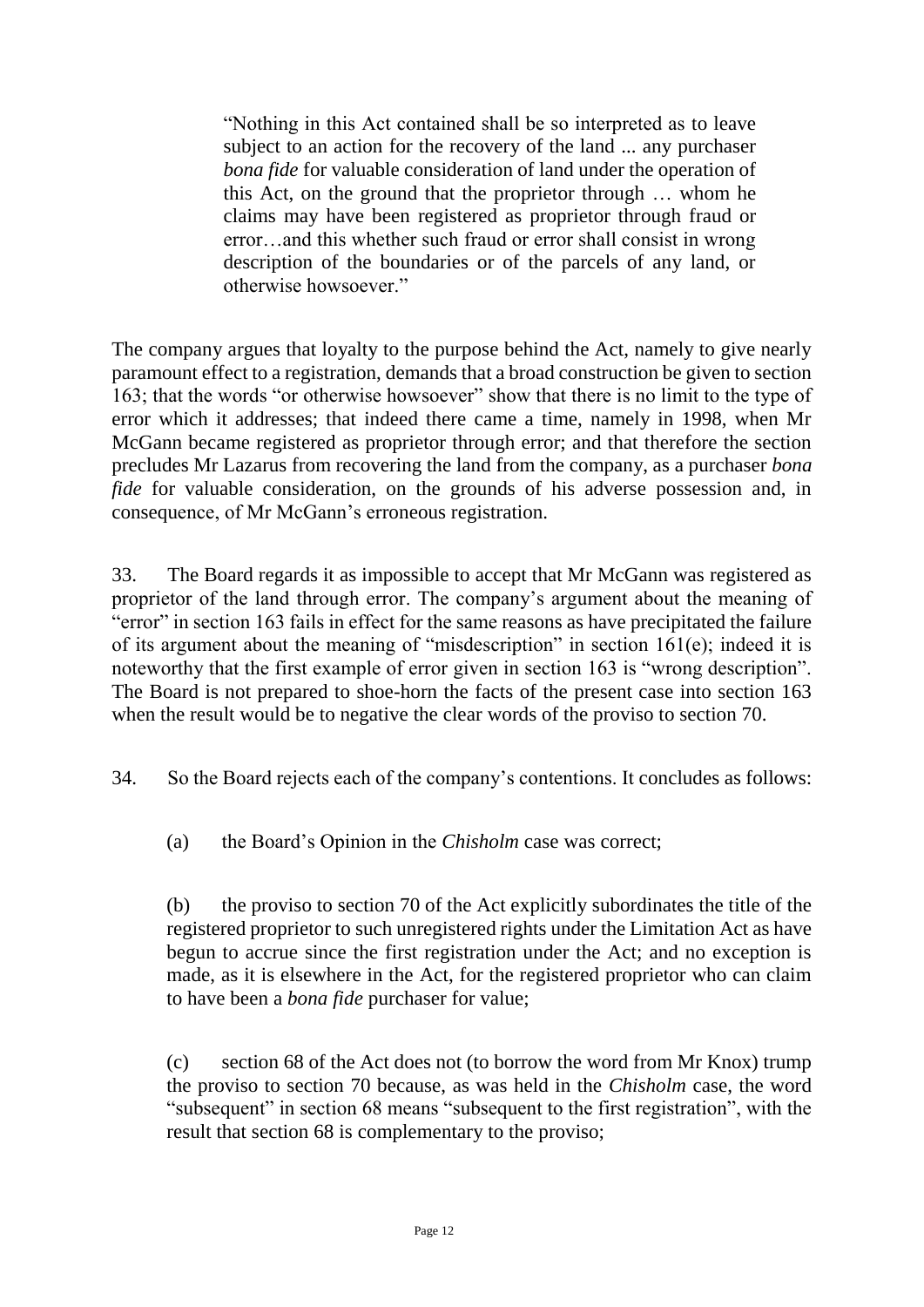"Nothing in this Act contained shall be so interpreted as to leave subject to an action for the recovery of the land ... any purchaser *bona fide* for valuable consideration of land under the operation of this Act, on the ground that the proprietor through … whom he claims may have been registered as proprietor through fraud or error…and this whether such fraud or error shall consist in wrong description of the boundaries or of the parcels of any land, or otherwise howsoever."

The company argues that loyalty to the purpose behind the Act, namely to give nearly paramount effect to a registration, demands that a broad construction be given to section 163; that the words "or otherwise howsoever" show that there is no limit to the type of error which it addresses; that indeed there came a time, namely in 1998, when Mr McGann became registered as proprietor through error; and that therefore the section precludes Mr Lazarus from recovering the land from the company, as a purchaser *bona fide* for valuable consideration, on the grounds of his adverse possession and, in consequence, of Mr McGann's erroneous registration.

33. The Board regards it as impossible to accept that Mr McGann was registered as proprietor of the land through error. The company's argument about the meaning of "error" in section 163 fails in effect for the same reasons as have precipitated the failure of its argument about the meaning of "misdescription" in section 161(e); indeed it is noteworthy that the first example of error given in section 163 is "wrong description". The Board is not prepared to shoe-horn the facts of the present case into section 163 when the result would be to negative the clear words of the proviso to section 70.

34. So the Board rejects each of the company's contentions. It concludes as follows:

(a) the Board's Opinion in the *Chisholm* case was correct;

(b) the proviso to section 70 of the Act explicitly subordinates the title of the registered proprietor to such unregistered rights under the Limitation Act as have begun to accrue since the first registration under the Act; and no exception is made, as it is elsewhere in the Act, for the registered proprietor who can claim to have been a *bona fide* purchaser for value;

(c) section 68 of the Act does not (to borrow the word from Mr Knox) trump the proviso to section 70 because, as was held in the *Chisholm* case, the word "subsequent" in section 68 means "subsequent to the first registration", with the result that section 68 is complementary to the proviso;